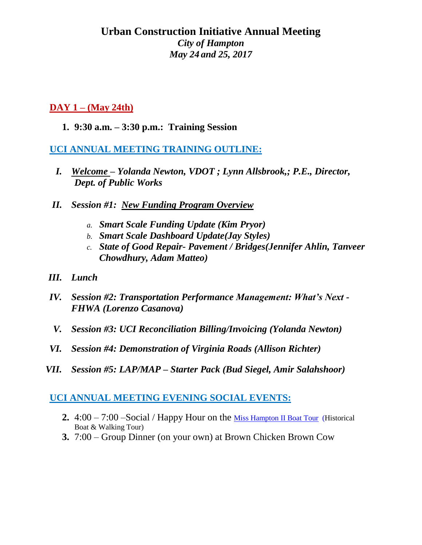# **Urban Construction Initiative Annual Meeting** *City of Hampton May 24 and 25, 2017*

# **DAY 1 – (May 24th)**

**1. 9:30 a.m. – 3:30 p.m.: Training Session** 

# **UCI ANNUAL MEETING TRAINING OUTLINE:**

- *I. Welcome – Yolanda Newton, VDOT ; Lynn Allsbrook,; P.E., Director, Dept. of Public Works*
- *II. Session #1: New Funding Program Overview*
	- *a. Smart Scale Funding Update (Kim Pryor)*
	- *b. Smart Scale Dashboard Update(Jay Styles)*
	- *c. State of Good Repair- Pavement / Bridges(Jennifer Ahlin, Tanveer Chowdhury, Adam Matteo)*
- *III. Lunch*
- *IV. Session #2: Transportation Performance Management: What's Next - FHWA (Lorenzo Casanova)*
- *V. Session #3: UCI Reconciliation Billing/Invoicing (Yolanda Newton)*
- *VI. Session #4: Demonstration of Virginia Roads (Allison Richter)*
- *VII. Session #5: LAP/MAP – Starter Pack (Bud Siegel, Amir Salahshoor)*

#### **UCI ANNUAL MEETING EVENING SOCIAL EVENTS:**

- **2.** 4:00 7:00 –Social / Happy Hour on the [Miss Hampton II Boat Tour](https://www.misshamptoncruises.com/harbor-tour) (Historical Boat & Walking Tour)
- **3.** 7:00 Group Dinner (on your own) at Brown Chicken Brown Cow